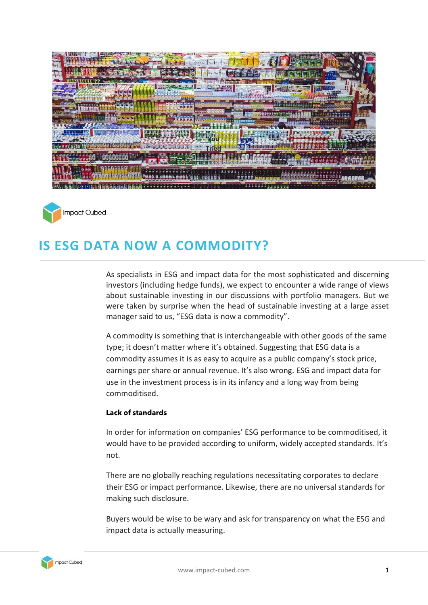



# **IS ESG DATA NOW A COMMODITY?**

As specialists in ESG and impact data for the most sophisticated and discerning investors (including hedge funds), we expect to encounter a wide range of views about sustainable investing in our discussions with portfolio managers. But we were taken by surprise when the head of sustainable investing at a large asset manager said to us, "ESG data is now a commodity".

A commodity is something that is interchangeable with other goods of the same type; it doesn't matter where it's obtained. Suggesting that ESG data is a commodity assumes it is as easy to acquire as a public company's stock price, earnings per share or annual revenue. It's also wrong. ESG and impact data for use in the investment process is in its infancy and a long way from being commoditised.

### **Lack of standards**

In order for information on companies' ESG performance to be commoditised, it would have to be provided according to uniform, widely accepted standards. It's not.

There are no globally reaching regulations necessitating corporates to declare their ESG or impact performance. Likewise, there are no universal standards for making such disclosure.

Buyers would be wise to be wary and ask for transparency on what the ESG and impact data is actually measuring.

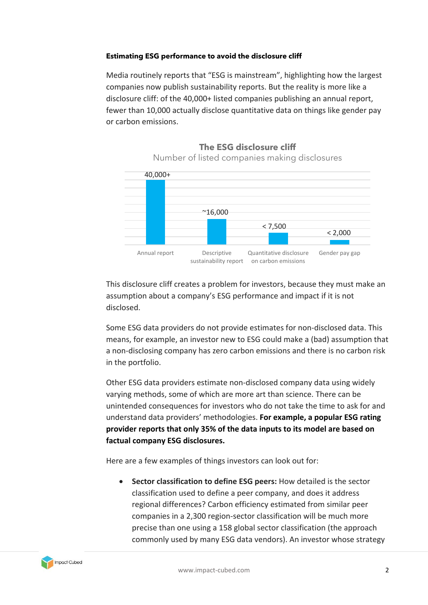### **Estimating ESG performance to avoid the disclosure cliff**

Media routinely reports that "ESG is mainstream", highlighting how the largest companies now publish sustainability reports. But the reality is more like a disclosure cliff: of the 40,000+ listed companies publishing an annual report, fewer than 10,000 actually disclose quantitative data on things like gender pay or carbon emissions.



This disclosure cliff creates a problem for investors, because they must make an assumption about a company's ESG performance and impact if it is not disclosed.

Some ESG data providers do not provide estimates for non-disclosed data. This means, for example, an investor new to ESG could make a (bad) assumption that a non-disclosing company has zero carbon emissions and there is no carbon risk in the portfolio.

Other ESG data providers estimate non-disclosed company data using widely varying methods, some of which are more art than science. There can be unintended consequences for investors who do not take the time to ask for and understand data providers' methodologies. **For example, a popular ESG rating provider reports that only 35% of the data inputs to its model are based on factual company ESG disclosures.**

Here are a few examples of things investors can look out for:

• **Sector classification to define ESG peers:** How detailed is the sector classification used to define a peer company, and does it address regional differences? Carbon efficiency estimated from similar peer companies in a 2,300 region-sector classification will be much more precise than one using a 158 global sector classification (the approach commonly used by many ESG data vendors). An investor whose strategy

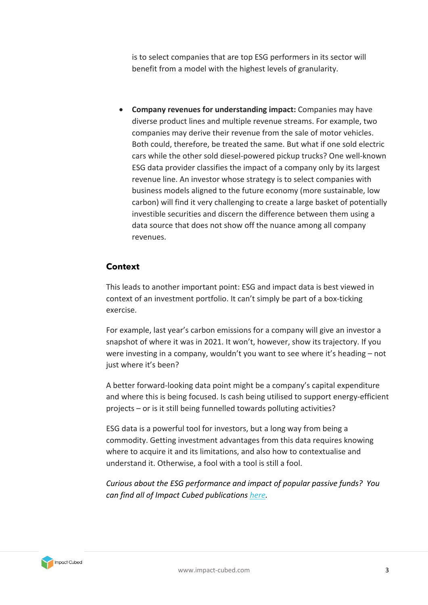is to select companies that are top ESG performers in its sector will benefit from a model with the highest levels of granularity.

• **Company revenues for understanding impact:** Companies may have diverse product lines and multiple revenue streams. For example, two companies may derive their revenue from the sale of motor vehicles. Both could, therefore, be treated the same. But what if one sold electric cars while the other sold diesel-powered pickup trucks? One well-known ESG data provider classifies the impact of a company only by its largest revenue line. An investor whose strategy is to select companies with business models aligned to the future economy (more sustainable, low carbon) will find it very challenging to create a large basket of potentially investible securities and discern the difference between them using a data source that does not show off the nuance among all company revenues.

## **Context**

This leads to another important point: ESG and impact data is best viewed in context of an investment portfolio. It can't simply be part of a box-ticking exercise.

For example, last year's carbon emissions for a company will give an investor a snapshot of where it was in 2021. It won't, however, show its trajectory. If you were investing in a company, wouldn't you want to see where it's heading – not just where it's been?

A better forward-looking data point might be a company's capital expenditure and where this is being focused. Is cash being utilised to support energy-efficient projects – or is it still being funnelled towards polluting activities?

ESG data is a powerful tool for investors, but a long way from being a commodity. Getting investment advantages from this data requires knowing where to acquire it and its limitations, and also how to contextualise and understand it. Otherwise, a fool with a tool is still a fool.

*Curious about the ESG performance and impact of popular passive funds? You can find all of Impact Cubed publications [here.](https://www.impact-cubed.com/newsandpublications)*